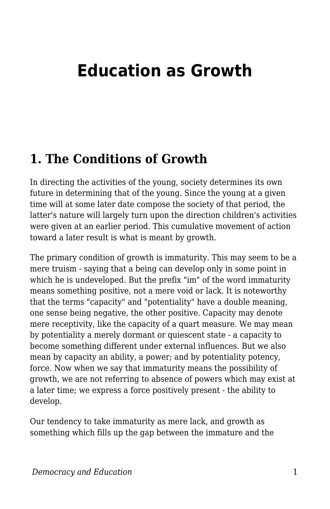# **Education as Growth**

### **1. The Conditions of Growth**

In directing the activities of the young, society determines its own future in determining that of the young. Since the young at a given time will at some later date compose the society of that period, the latter's nature will largely turn upon the direction children's activities were given at an earlier period. This cumulative movement of action toward a later result is what is meant by growth.

The primary condition of growth is immaturity. This may seem to be a mere truism - saying that a being can develop only in some point in which he is undeveloped. But the prefix "im" of the word immaturity means something positive, not a mere void or lack. It is noteworthy that the terms "capacity" and "potentiality" have a double meaning, one sense being negative, the other positive. Capacity may denote mere receptivity, like the capacity of a quart measure. We may mean by potentiality a merely dormant or quiescent state - a capacity to become something different under external influences. But we also mean by capacity an ability, a power; and by potentiality potency, force. Now when we say that immaturity means the possibility of growth, we are not referring to absence of powers which may exist at a later time; we express a force positively present - the ability to develop.

Our tendency to take immaturity as mere lack, and growth as something which fills up the gap between the immature and the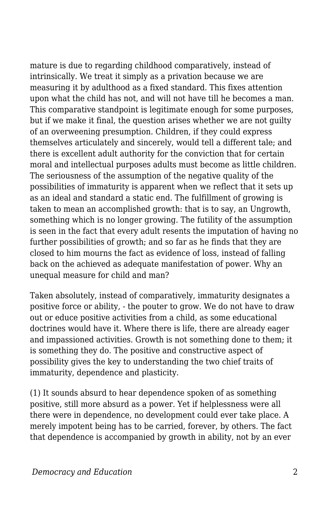mature is due to regarding childhood comparatively, instead of intrinsically. We treat it simply as a privation because we are measuring it by adulthood as a fixed standard. This fixes attention upon what the child has not, and will not have till he becomes a man. This comparative standpoint is legitimate enough for some purposes, but if we make it final, the question arises whether we are not guilty of an overweening presumption. Children, if they could express themselves articulately and sincerely, would tell a different tale; and there is excellent adult authority for the conviction that for certain moral and intellectual purposes adults must become as little children. The seriousness of the assumption of the negative quality of the possibilities of immaturity is apparent when we reflect that it sets up as an ideal and standard a static end. The fulfillment of growing is taken to mean an accomplished growth: that is to say, an Ungrowth, something which is no longer growing. The futility of the assumption is seen in the fact that every adult resents the imputation of having no further possibilities of growth; and so far as he finds that they are closed to him mourns the fact as evidence of loss, instead of falling back on the achieved as adequate manifestation of power. Why an unequal measure for child and man?

Taken absolutely, instead of comparatively, immaturity designates a positive force or ability, - the pouter to grow. We do not have to draw out or educe positive activities from a child, as some educational doctrines would have it. Where there is life, there are already eager and impassioned activities. Growth is not something done to them; it is something they do. The positive and constructive aspect of possibility gives the key to understanding the two chief traits of immaturity, dependence and plasticity.

(1) It sounds absurd to hear dependence spoken of as something positive, still more absurd as a power. Yet if helplessness were all there were in dependence, no development could ever take place. A merely impotent being has to be carried, forever, by others. The fact that dependence is accompanied by growth in ability, not by an ever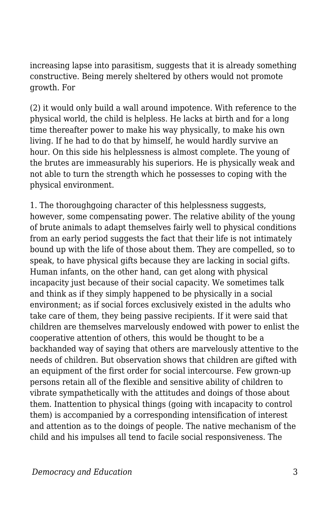increasing lapse into parasitism, suggests that it is already something constructive. Being merely sheltered by others would not promote growth. For

(2) it would only build a wall around impotence. With reference to the physical world, the child is helpless. He lacks at birth and for a long time thereafter power to make his way physically, to make his own living. If he had to do that by himself, he would hardly survive an hour. On this side his helplessness is almost complete. The young of the brutes are immeasurably his superiors. He is physically weak and not able to turn the strength which he possesses to coping with the physical environment.

1. The thoroughgoing character of this helplessness suggests, however, some compensating power. The relative ability of the young of brute animals to adapt themselves fairly well to physical conditions from an early period suggests the fact that their life is not intimately bound up with the life of those about them. They are compelled, so to speak, to have physical gifts because they are lacking in social gifts. Human infants, on the other hand, can get along with physical incapacity just because of their social capacity. We sometimes talk and think as if they simply happened to be physically in a social environment; as if social forces exclusively existed in the adults who take care of them, they being passive recipients. If it were said that children are themselves marvelously endowed with power to enlist the cooperative attention of others, this would be thought to be a backhanded way of saying that others are marvelously attentive to the needs of children. But observation shows that children are gifted with an equipment of the first order for social intercourse. Few grown-up persons retain all of the flexible and sensitive ability of children to vibrate sympathetically with the attitudes and doings of those about them. Inattention to physical things (going with incapacity to control them) is accompanied by a corresponding intensification of interest and attention as to the doings of people. The native mechanism of the child and his impulses all tend to facile social responsiveness. The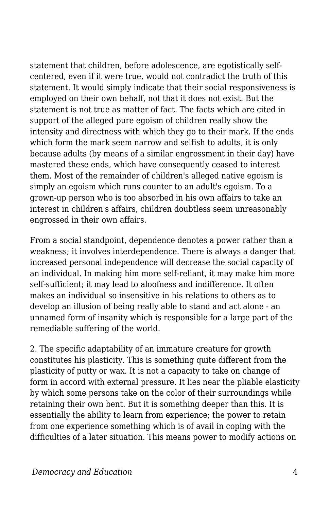statement that children, before adolescence, are egotistically selfcentered, even if it were true, would not contradict the truth of this statement. It would simply indicate that their social responsiveness is employed on their own behalf, not that it does not exist. But the statement is not true as matter of fact. The facts which are cited in support of the alleged pure egoism of children really show the intensity and directness with which they go to their mark. If the ends which form the mark seem narrow and selfish to adults, it is only because adults (by means of a similar engrossment in their day) have mastered these ends, which have consequently ceased to interest them. Most of the remainder of children's alleged native egoism is simply an egoism which runs counter to an adult's egoism. To a grown-up person who is too absorbed in his own affairs to take an interest in children's affairs, children doubtless seem unreasonably engrossed in their own affairs.

From a social standpoint, dependence denotes a power rather than a weakness; it involves interdependence. There is always a danger that increased personal independence will decrease the social capacity of an individual. In making him more self-reliant, it may make him more self-sufficient; it may lead to aloofness and indifference. It often makes an individual so insensitive in his relations to others as to develop an illusion of being really able to stand and act alone - an unnamed form of insanity which is responsible for a large part of the remediable suffering of the world.

2. The specific adaptability of an immature creature for growth constitutes his plasticity. This is something quite different from the plasticity of putty or wax. It is not a capacity to take on change of form in accord with external pressure. It lies near the pliable elasticity by which some persons take on the color of their surroundings while retaining their own bent. But it is something deeper than this. It is essentially the ability to learn from experience; the power to retain from one experience something which is of avail in coping with the difficulties of a later situation. This means power to modify actions on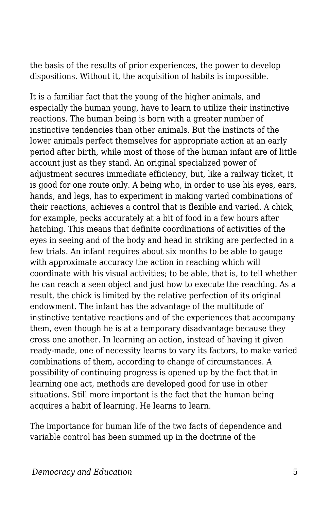the basis of the results of prior experiences, the power to develop dispositions. Without it, the acquisition of habits is impossible.

It is a familiar fact that the young of the higher animals, and especially the human young, have to learn to utilize their instinctive reactions. The human being is born with a greater number of instinctive tendencies than other animals. But the instincts of the lower animals perfect themselves for appropriate action at an early period after birth, while most of those of the human infant are of little account just as they stand. An original specialized power of adjustment secures immediate efficiency, but, like a railway ticket, it is good for one route only. A being who, in order to use his eyes, ears, hands, and legs, has to experiment in making varied combinations of their reactions, achieves a control that is flexible and varied. A chick, for example, pecks accurately at a bit of food in a few hours after hatching. This means that definite coordinations of activities of the eyes in seeing and of the body and head in striking are perfected in a few trials. An infant requires about six months to be able to gauge with approximate accuracy the action in reaching which will coordinate with his visual activities; to be able, that is, to tell whether he can reach a seen object and just how to execute the reaching. As a result, the chick is limited by the relative perfection of its original endowment. The infant has the advantage of the multitude of instinctive tentative reactions and of the experiences that accompany them, even though he is at a temporary disadvantage because they cross one another. In learning an action, instead of having it given ready-made, one of necessity learns to vary its factors, to make varied combinations of them, according to change of circumstances. A possibility of continuing progress is opened up by the fact that in learning one act, methods are developed good for use in other situations. Still more important is the fact that the human being acquires a habit of learning. He learns to learn.

The importance for human life of the two facts of dependence and variable control has been summed up in the doctrine of the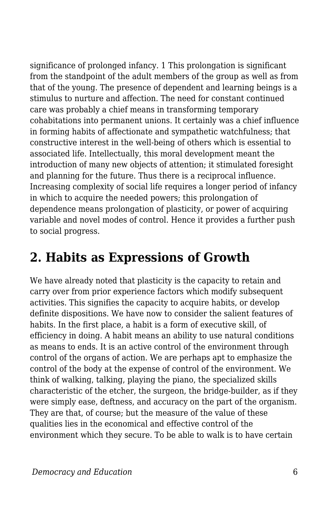significance of prolonged infancy. 1 This prolongation is significant from the standpoint of the adult members of the group as well as from that of the young. The presence of dependent and learning beings is a stimulus to nurture and affection. The need for constant continued care was probably a chief means in transforming temporary cohabitations into permanent unions. It certainly was a chief influence in forming habits of affectionate and sympathetic watchfulness; that constructive interest in the well-being of others which is essential to associated life. Intellectually, this moral development meant the introduction of many new objects of attention; it stimulated foresight and planning for the future. Thus there is a reciprocal influence. Increasing complexity of social life requires a longer period of infancy in which to acquire the needed powers; this prolongation of dependence means prolongation of plasticity, or power of acquiring variable and novel modes of control. Hence it provides a further push to social progress.

### **2. Habits as Expressions of Growth**

We have already noted that plasticity is the capacity to retain and carry over from prior experience factors which modify subsequent activities. This signifies the capacity to acquire habits, or develop definite dispositions. We have now to consider the salient features of habits. In the first place, a habit is a form of executive skill, of efficiency in doing. A habit means an ability to use natural conditions as means to ends. It is an active control of the environment through control of the organs of action. We are perhaps apt to emphasize the control of the body at the expense of control of the environment. We think of walking, talking, playing the piano, the specialized skills characteristic of the etcher, the surgeon, the bridge-builder, as if they were simply ease, deftness, and accuracy on the part of the organism. They are that, of course; but the measure of the value of these qualities lies in the economical and effective control of the environment which they secure. To be able to walk is to have certain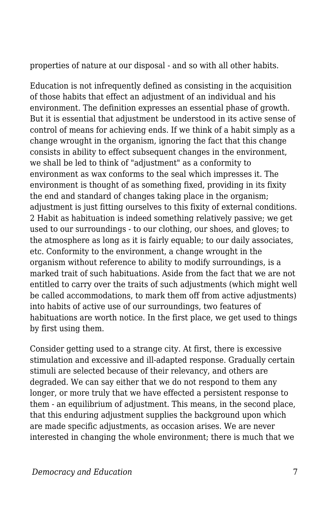properties of nature at our disposal - and so with all other habits.

Education is not infrequently defined as consisting in the acquisition of those habits that effect an adjustment of an individual and his environment. The definition expresses an essential phase of growth. But it is essential that adjustment be understood in its active sense of control of means for achieving ends. If we think of a habit simply as a change wrought in the organism, ignoring the fact that this change consists in ability to effect subsequent changes in the environment, we shall be led to think of "adjustment" as a conformity to environment as wax conforms to the seal which impresses it. The environment is thought of as something fixed, providing in its fixity the end and standard of changes taking place in the organism; adjustment is just fitting ourselves to this fixity of external conditions. 2 Habit as habituation is indeed something relatively passive; we get used to our surroundings - to our clothing, our shoes, and gloves; to the atmosphere as long as it is fairly equable; to our daily associates, etc. Conformity to the environment, a change wrought in the organism without reference to ability to modify surroundings, is a marked trait of such habituations. Aside from the fact that we are not entitled to carry over the traits of such adjustments (which might well be called accommodations, to mark them off from active adjustments) into habits of active use of our surroundings, two features of habituations are worth notice. In the first place, we get used to things by first using them.

Consider getting used to a strange city. At first, there is excessive stimulation and excessive and ill-adapted response. Gradually certain stimuli are selected because of their relevancy, and others are degraded. We can say either that we do not respond to them any longer, or more truly that we have effected a persistent response to them - an equilibrium of adjustment. This means, in the second place, that this enduring adjustment supplies the background upon which are made specific adjustments, as occasion arises. We are never interested in changing the whole environment; there is much that we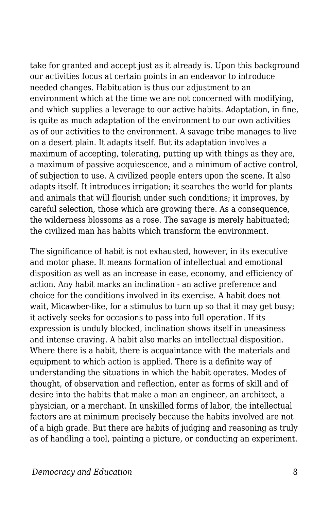take for granted and accept just as it already is. Upon this background our activities focus at certain points in an endeavor to introduce needed changes. Habituation is thus our adjustment to an environment which at the time we are not concerned with modifying, and which supplies a leverage to our active habits. Adaptation, in fine, is quite as much adaptation of the environment to our own activities as of our activities to the environment. A savage tribe manages to live on a desert plain. It adapts itself. But its adaptation involves a maximum of accepting, tolerating, putting up with things as they are, a maximum of passive acquiescence, and a minimum of active control, of subjection to use. A civilized people enters upon the scene. It also adapts itself. It introduces irrigation; it searches the world for plants and animals that will flourish under such conditions; it improves, by careful selection, those which are growing there. As a consequence, the wilderness blossoms as a rose. The savage is merely habituated; the civilized man has habits which transform the environment.

The significance of habit is not exhausted, however, in its executive and motor phase. It means formation of intellectual and emotional disposition as well as an increase in ease, economy, and efficiency of action. Any habit marks an inclination - an active preference and choice for the conditions involved in its exercise. A habit does not wait, Micawber-like, for a stimulus to turn up so that it may get busy; it actively seeks for occasions to pass into full operation. If its expression is unduly blocked, inclination shows itself in uneasiness and intense craving. A habit also marks an intellectual disposition. Where there is a habit, there is acquaintance with the materials and equipment to which action is applied. There is a definite way of understanding the situations in which the habit operates. Modes of thought, of observation and reflection, enter as forms of skill and of desire into the habits that make a man an engineer, an architect, a physician, or a merchant. In unskilled forms of labor, the intellectual factors are at minimum precisely because the habits involved are not of a high grade. But there are habits of judging and reasoning as truly as of handling a tool, painting a picture, or conducting an experiment.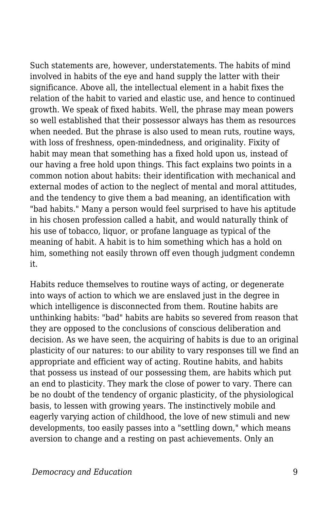Such statements are, however, understatements. The habits of mind involved in habits of the eye and hand supply the latter with their significance. Above all, the intellectual element in a habit fixes the relation of the habit to varied and elastic use, and hence to continued growth. We speak of fixed habits. Well, the phrase may mean powers so well established that their possessor always has them as resources when needed. But the phrase is also used to mean ruts, routine ways, with loss of freshness, open-mindedness, and originality. Fixity of habit may mean that something has a fixed hold upon us, instead of our having a free hold upon things. This fact explains two points in a common notion about habits: their identification with mechanical and external modes of action to the neglect of mental and moral attitudes, and the tendency to give them a bad meaning, an identification with "bad habits." Many a person would feel surprised to have his aptitude in his chosen profession called a habit, and would naturally think of his use of tobacco, liquor, or profane language as typical of the meaning of habit. A habit is to him something which has a hold on him, something not easily thrown off even though judgment condemn it.

Habits reduce themselves to routine ways of acting, or degenerate into ways of action to which we are enslaved just in the degree in which intelligence is disconnected from them. Routine habits are unthinking habits: "bad" habits are habits so severed from reason that they are opposed to the conclusions of conscious deliberation and decision. As we have seen, the acquiring of habits is due to an original plasticity of our natures: to our ability to vary responses till we find an appropriate and efficient way of acting. Routine habits, and habits that possess us instead of our possessing them, are habits which put an end to plasticity. They mark the close of power to vary. There can be no doubt of the tendency of organic plasticity, of the physiological basis, to lessen with growing years. The instinctively mobile and eagerly varying action of childhood, the love of new stimuli and new developments, too easily passes into a "settling down," which means aversion to change and a resting on past achievements. Only an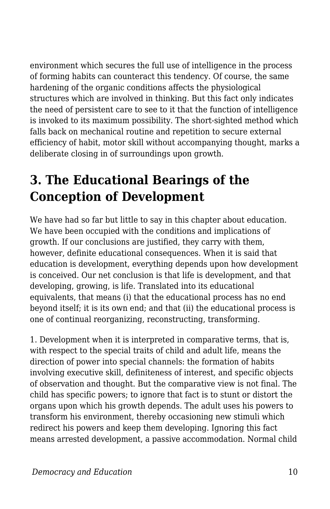environment which secures the full use of intelligence in the process of forming habits can counteract this tendency. Of course, the same hardening of the organic conditions affects the physiological structures which are involved in thinking. But this fact only indicates the need of persistent care to see to it that the function of intelligence is invoked to its maximum possibility. The short-sighted method which falls back on mechanical routine and repetition to secure external efficiency of habit, motor skill without accompanying thought, marks a deliberate closing in of surroundings upon growth.

## **3. The Educational Bearings of the Conception of Development**

We have had so far but little to say in this chapter about education. We have been occupied with the conditions and implications of growth. If our conclusions are justified, they carry with them, however, definite educational consequences. When it is said that education is development, everything depends upon how development is conceived. Our net conclusion is that life is development, and that developing, growing, is life. Translated into its educational equivalents, that means (i) that the educational process has no end beyond itself; it is its own end; and that (ii) the educational process is one of continual reorganizing, reconstructing, transforming.

1. Development when it is interpreted in comparative terms, that is, with respect to the special traits of child and adult life, means the direction of power into special channels: the formation of habits involving executive skill, definiteness of interest, and specific objects of observation and thought. But the comparative view is not final. The child has specific powers; to ignore that fact is to stunt or distort the organs upon which his growth depends. The adult uses his powers to transform his environment, thereby occasioning new stimuli which redirect his powers and keep them developing. Ignoring this fact means arrested development, a passive accommodation. Normal child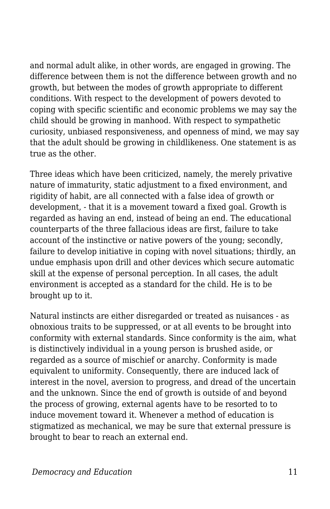and normal adult alike, in other words, are engaged in growing. The difference between them is not the difference between growth and no growth, but between the modes of growth appropriate to different conditions. With respect to the development of powers devoted to coping with specific scientific and economic problems we may say the child should be growing in manhood. With respect to sympathetic curiosity, unbiased responsiveness, and openness of mind, we may say that the adult should be growing in childlikeness. One statement is as true as the other.

Three ideas which have been criticized, namely, the merely privative nature of immaturity, static adjustment to a fixed environment, and rigidity of habit, are all connected with a false idea of growth or development, - that it is a movement toward a fixed goal. Growth is regarded as having an end, instead of being an end. The educational counterparts of the three fallacious ideas are first, failure to take account of the instinctive or native powers of the young; secondly, failure to develop initiative in coping with novel situations; thirdly, an undue emphasis upon drill and other devices which secure automatic skill at the expense of personal perception. In all cases, the adult environment is accepted as a standard for the child. He is to be brought up to it.

Natural instincts are either disregarded or treated as nuisances - as obnoxious traits to be suppressed, or at all events to be brought into conformity with external standards. Since conformity is the aim, what is distinctively individual in a young person is brushed aside, or regarded as a source of mischief or anarchy. Conformity is made equivalent to uniformity. Consequently, there are induced lack of interest in the novel, aversion to progress, and dread of the uncertain and the unknown. Since the end of growth is outside of and beyond the process of growing, external agents have to be resorted to to induce movement toward it. Whenever a method of education is stigmatized as mechanical, we may be sure that external pressure is brought to bear to reach an external end.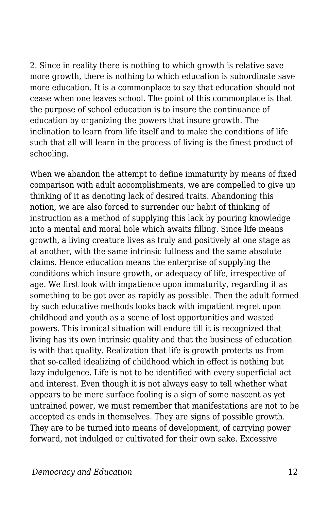2. Since in reality there is nothing to which growth is relative save more growth, there is nothing to which education is subordinate save more education. It is a commonplace to say that education should not cease when one leaves school. The point of this commonplace is that the purpose of school education is to insure the continuance of education by organizing the powers that insure growth. The inclination to learn from life itself and to make the conditions of life such that all will learn in the process of living is the finest product of schooling.

When we abandon the attempt to define immaturity by means of fixed comparison with adult accomplishments, we are compelled to give up thinking of it as denoting lack of desired traits. Abandoning this notion, we are also forced to surrender our habit of thinking of instruction as a method of supplying this lack by pouring knowledge into a mental and moral hole which awaits filling. Since life means growth, a living creature lives as truly and positively at one stage as at another, with the same intrinsic fullness and the same absolute claims. Hence education means the enterprise of supplying the conditions which insure growth, or adequacy of life, irrespective of age. We first look with impatience upon immaturity, regarding it as something to be got over as rapidly as possible. Then the adult formed by such educative methods looks back with impatient regret upon childhood and youth as a scene of lost opportunities and wasted powers. This ironical situation will endure till it is recognized that living has its own intrinsic quality and that the business of education is with that quality. Realization that life is growth protects us from that so-called idealizing of childhood which in effect is nothing but lazy indulgence. Life is not to be identified with every superficial act and interest. Even though it is not always easy to tell whether what appears to be mere surface fooling is a sign of some nascent as yet untrained power, we must remember that manifestations are not to be accepted as ends in themselves. They are signs of possible growth. They are to be turned into means of development, of carrying power forward, not indulged or cultivated for their own sake. Excessive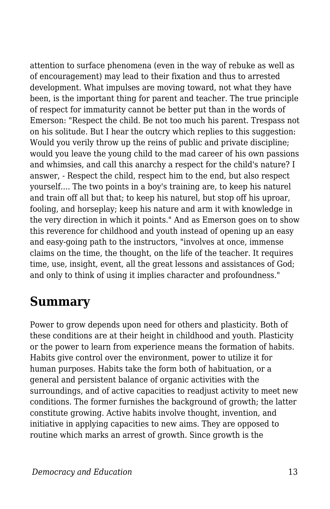attention to surface phenomena (even in the way of rebuke as well as of encouragement) may lead to their fixation and thus to arrested development. What impulses are moving toward, not what they have been, is the important thing for parent and teacher. The true principle of respect for immaturity cannot be better put than in the words of Emerson: "Respect the child. Be not too much his parent. Trespass not on his solitude. But I hear the outcry which replies to this suggestion: Would you verily throw up the reins of public and private discipline; would you leave the young child to the mad career of his own passions and whimsies, and call this anarchy a respect for the child's nature? I answer, - Respect the child, respect him to the end, but also respect yourself.... The two points in a boy's training are, to keep his naturel and train off all but that; to keep his naturel, but stop off his uproar, fooling, and horseplay; keep his nature and arm it with knowledge in the very direction in which it points." And as Emerson goes on to show this reverence for childhood and youth instead of opening up an easy and easy-going path to the instructors, "involves at once, immense claims on the time, the thought, on the life of the teacher. It requires time, use, insight, event, all the great lessons and assistances of God; and only to think of using it implies character and profoundness."

### **Summary**

Power to grow depends upon need for others and plasticity. Both of these conditions are at their height in childhood and youth. Plasticity or the power to learn from experience means the formation of habits. Habits give control over the environment, power to utilize it for human purposes. Habits take the form both of habituation, or a general and persistent balance of organic activities with the surroundings, and of active capacities to readjust activity to meet new conditions. The former furnishes the background of growth; the latter constitute growing. Active habits involve thought, invention, and initiative in applying capacities to new aims. They are opposed to routine which marks an arrest of growth. Since growth is the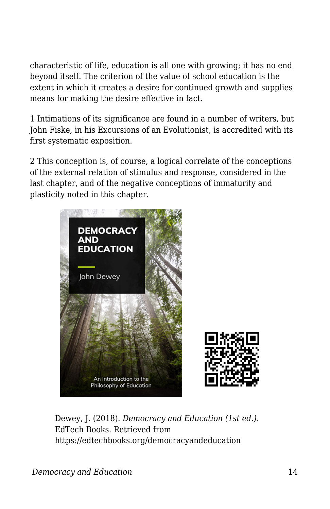characteristic of life, education is all one with growing; it has no end beyond itself. The criterion of the value of school education is the extent in which it creates a desire for continued growth and supplies means for making the desire effective in fact.

1 Intimations of its significance are found in a number of writers, but John Fiske, in his Excursions of an Evolutionist, is accredited with its first systematic exposition.

2 This conception is, of course, a logical correlate of the conceptions of the external relation of stimulus and response, considered in the last chapter, and of the negative conceptions of immaturity and plasticity noted in this chapter.



Dewey, J. (2018). *Democracy and Education (1st ed.)*. EdTech Books. Retrieved from https://edtechbooks.org/democracyandeducation

*Democracy and Education* 14